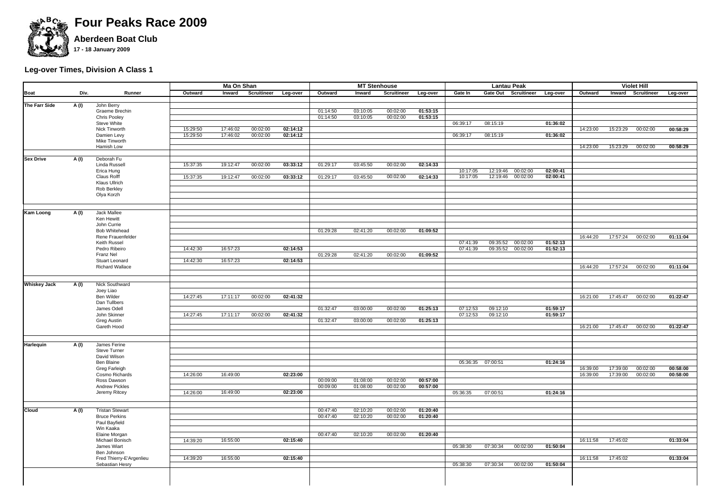

# **Four Peaks Race 2009**

**Aberdeen Boat Club 17 - 18 January 2009**

## **Leg-over Times, Division A Class 1**

|                     |       |                                             | Ma On Shan |          | <b>MT Stenhouse</b> |          |          |          | <b>Lantau Peak</b> |          |          |                   | <b>Violet Hill</b> |          |          |          |                    |          |
|---------------------|-------|---------------------------------------------|------------|----------|---------------------|----------|----------|----------|--------------------|----------|----------|-------------------|--------------------|----------|----------|----------|--------------------|----------|
| Boat                | Div.  | Runner                                      | Outward    | Inward   | <b>Scruitineer</b>  | Leg-over | Outward  | Inward   | <b>Scruitineer</b> | Leg-over | Gate In  | Gate Out          | Scruitineer        | Leg-over | Outward  | Inward   | <b>Scruitineer</b> | Leg-over |
|                     |       |                                             |            |          |                     |          |          |          |                    |          |          |                   |                    |          |          |          |                    |          |
| The Farr Side       | A(1)  | John Berry                                  |            |          |                     |          |          |          |                    |          |          |                   |                    |          |          |          |                    |          |
|                     |       | Graeme Brechin                              |            |          |                     |          | 01:14:50 | 03:10:05 | 00:02:00           | 01:53:15 |          |                   |                    |          |          |          |                    |          |
|                     |       | Chris Pooley<br>Steve White                 |            |          |                     |          | 01:14:50 | 03:10:05 | 00:02:00           | 01:53:15 | 06:39:17 | 08:15:19          |                    | 01:36:02 |          |          |                    |          |
|                     |       | Nick Tinworth                               | 15:29:50   | 17:46:02 | 00:02:00            | 02:14:12 |          |          |                    |          |          |                   |                    |          | 14:23:00 | 15:23:29 | 00:02:00           | 00:58:29 |
|                     |       | Damien Levy                                 | 15:29:50   | 17:46:02 | 00:02:00            | 02:14:12 |          |          |                    |          | 06:39:17 | 08:15:19          |                    | 01:36:02 |          |          |                    |          |
|                     |       | Mike Tinworth                               |            |          |                     |          |          |          |                    |          |          |                   |                    |          |          |          |                    |          |
|                     |       | Hamish Low                                  |            |          |                     |          |          |          |                    |          |          |                   |                    |          | 14:23:00 | 15:23:29 | 00:02:00           | 00:58:29 |
|                     |       |                                             |            |          |                     |          |          |          |                    |          |          |                   |                    |          |          |          |                    |          |
| <b>Sex Drive</b>    | A(1)  | Deborah Fu                                  |            |          |                     |          |          |          |                    |          |          |                   |                    |          |          |          |                    |          |
|                     |       | Linda Russell                               | 15:37:35   | 19:12:47 | 00:02:00            | 03:33:12 | 01:29:17 | 03:45:50 | 00:02:00           | 02:14:33 |          |                   |                    |          |          |          |                    |          |
|                     |       | Erica Hung                                  |            |          |                     |          |          |          |                    |          | 10:17:05 |                   | 12:19:46 00:02:00  | 02:00:41 |          |          |                    |          |
|                     |       | <b>Claus Rolff</b>                          | 15:37:35   | 19:12:47 | 00:02:00            | 03:33:12 | 01:29:17 | 03:45:50 | 00:02:00           | 02:14:33 | 10:17:05 | 12:19:46          | 00:02:00           | 02:00:41 |          |          |                    |          |
|                     |       | Klaus Ullrich                               |            |          |                     |          |          |          |                    |          |          |                   |                    |          |          |          |                    |          |
|                     |       | Rob Berkley<br>Olya Korzh                   |            |          |                     |          |          |          |                    |          |          |                   |                    |          |          |          |                    |          |
|                     |       |                                             |            |          |                     |          |          |          |                    |          |          |                   |                    |          |          |          |                    |          |
|                     |       |                                             |            |          |                     |          |          |          |                    |          |          |                   |                    |          |          |          |                    |          |
| <b>Kam Loong</b>    | A (I) | <b>Jack Mallee</b>                          |            |          |                     |          |          |          |                    |          |          |                   |                    |          |          |          |                    |          |
|                     |       | Ken Hewitt                                  |            |          |                     |          |          |          |                    |          |          |                   |                    |          |          |          |                    |          |
|                     |       | John Currie                                 |            |          |                     |          |          |          |                    |          |          |                   |                    |          |          |          |                    |          |
|                     |       | Bob Whitehead                               |            |          |                     |          | 01:29:28 | 02:41:20 | 00:02:00           | 01:09:52 |          |                   |                    |          |          |          |                    |          |
|                     |       | Rene Frauenfelder                           |            |          |                     |          |          |          |                    |          |          |                   |                    |          | 16:44:20 | 17:57:24 | 00:02:00           | 01:11:04 |
|                     |       | Keith Russel                                |            |          |                     |          |          |          |                    |          | 07:41:39 | 09:35:52          | 00:02:00           | 01:52:13 |          |          |                    |          |
|                     |       | Pedro Ribeiro                               | 14:42:30   | 16:57:23 |                     | 02:14:53 |          |          |                    |          | 07:41:39 |                   | 09:35:52 00:02:00  | 01:52:13 |          |          |                    |          |
|                     |       | Franz Nel<br>Stuart Leonard                 | 14:42:30   | 16:57:23 |                     | 02:14:53 | 01:29:28 | 02:41:20 | 00:02:00           | 01:09:52 |          |                   |                    |          |          |          |                    |          |
|                     |       | <b>Richard Wallace</b>                      |            |          |                     |          |          |          |                    |          |          |                   |                    |          | 16:44:20 | 17:57:24 | 00:02:00           | 01:11:04 |
|                     |       |                                             |            |          |                     |          |          |          |                    |          |          |                   |                    |          |          |          |                    |          |
|                     |       |                                             |            |          |                     |          |          |          |                    |          |          |                   |                    |          |          |          |                    |          |
| <b>Whiskey Jack</b> | A (I) | Nick Southward                              |            |          |                     |          |          |          |                    |          |          |                   |                    |          |          |          |                    |          |
|                     |       | Joey Liao                                   |            |          |                     |          |          |          |                    |          |          |                   |                    |          |          |          |                    |          |
|                     |       | Ben Wilder                                  | 14:27:45   | 17:11:17 | 00:02:00            | 02:41:32 |          |          |                    |          |          |                   |                    |          | 16:21:00 | 17:45:47 | 00:02:00           | 01:22:47 |
|                     |       | Dan Tullbers                                |            |          |                     |          |          |          |                    |          |          |                   |                    |          |          |          |                    |          |
|                     |       | James Odell                                 |            |          |                     |          | 01:32:47 | 03:00:00 | 00:02:00           | 01:25:13 | 07:12:53 | 09:12:10          |                    | 01:59:17 |          |          |                    |          |
|                     |       | John Skinner                                | 14:27:45   | 17:11:17 | 00:02:00            | 02:41:32 |          |          |                    |          | 07:12:53 | 09:12:10          |                    | 01:59:17 |          |          |                    |          |
|                     |       | Greg Austin<br>Gareth Hood                  |            |          |                     |          | 01:32:47 | 03:00:00 | 00:02:00           | 01:25:13 |          |                   |                    |          | 16:21:00 | 17:45:47 | 00:02:00           | 01:22:47 |
|                     |       |                                             |            |          |                     |          |          |          |                    |          |          |                   |                    |          |          |          |                    |          |
|                     |       |                                             |            |          |                     |          |          |          |                    |          |          |                   |                    |          |          |          |                    |          |
| Harlequin           | A(I)  | James Ferine                                |            |          |                     |          |          |          |                    |          |          |                   |                    |          |          |          |                    |          |
|                     |       | Steve Turner                                |            |          |                     |          |          |          |                    |          |          |                   |                    |          |          |          |                    |          |
|                     |       | David Wilson                                |            |          |                     |          |          |          |                    |          |          |                   |                    |          |          |          |                    |          |
|                     |       | Ben Blaine                                  |            |          |                     |          |          |          |                    |          |          | 05:36:35 07:00:51 |                    | 01:24:16 |          |          |                    |          |
|                     |       | Greg Farleigh                               |            |          |                     |          |          |          |                    |          |          |                   |                    |          | 16:39:00 | 17:39:00 | 00:02:00           | 00:58:00 |
|                     |       | Cosmo Richards                              | 14:26:00   | 16:49:00 |                     | 02:23:00 |          |          |                    |          |          |                   |                    |          | 16:39:00 | 17:39:00 | 00:02:00           | 00:58:00 |
|                     |       | Ross Dawson                                 |            |          |                     |          | 00:09:00 | 01:08:00 | 00:02:00           | 00:57:00 |          |                   |                    |          |          |          |                    |          |
|                     |       | <b>Andrew Pickles</b><br>Jeremy Ritcey      | 14:26:00   | 16:49:00 |                     | 02:23:00 | 00:09:00 | 01:08:00 | 00:02:00           | 00:57:00 | 05:36:35 | 07:00:51          |                    | 01:24:16 |          |          |                    |          |
|                     |       |                                             |            |          |                     |          |          |          |                    |          |          |                   |                    |          |          |          |                    |          |
|                     |       |                                             |            |          |                     |          |          |          |                    |          |          |                   |                    |          |          |          |                    |          |
| Cloud               | A (I) | <b>Tristan Stewart</b>                      |            |          |                     |          | 00:47:40 | 02:10:20 | 00:02:00           | 01:20:40 |          |                   |                    |          |          |          |                    |          |
|                     |       | <b>Bruce Perkins</b>                        |            |          |                     |          | 00:47:40 | 02:10:20 | 00:02:00           | 01:20:40 |          |                   |                    |          |          |          |                    |          |
|                     |       | Paul Bayfield                               |            |          |                     |          |          |          |                    |          |          |                   |                    |          |          |          |                    |          |
|                     |       | Win Kaaka                                   |            |          |                     |          |          |          |                    |          |          |                   |                    |          |          |          |                    |          |
|                     |       | Elaine Morgan                               |            |          |                     |          | 00:47:40 | 02:10:20 | 00:02:00           | 01:20:40 |          |                   |                    |          |          |          |                    |          |
|                     |       | Michael Bonisch                             | 14:39:20   | 16:55:00 |                     | 02:15:40 |          |          |                    |          |          |                   |                    |          | 16:11:58 | 17:45:02 |                    | 01:33:04 |
|                     |       | James Wiart                                 |            |          |                     |          |          |          |                    |          | 05:38:30 | 07:30:34          | 00:02:00           | 01:50:04 |          |          |                    |          |
|                     |       | Ben Johnson                                 | 14:39:20   | 16:55:00 |                     | 02:15:40 |          |          |                    |          |          |                   |                    |          | 16:11:58 | 17:45:02 |                    | 01:33:04 |
|                     |       | Fred Thierry-E'Argenlieu<br>Sebastian Hesry |            |          |                     |          |          |          |                    |          | 05:38:30 | 07:30:34          | 00:02:00           | 01:50:04 |          |          |                    |          |
|                     |       |                                             |            |          |                     |          |          |          |                    |          |          |                   |                    |          |          |          |                    |          |
|                     |       |                                             |            |          |                     |          |          |          |                    |          |          |                   |                    |          |          |          |                    |          |
|                     |       |                                             |            |          |                     |          |          |          |                    |          |          |                   |                    |          |          |          |                    |          |
|                     |       |                                             |            |          |                     |          |          |          |                    |          |          |                   |                    |          |          |          |                    |          |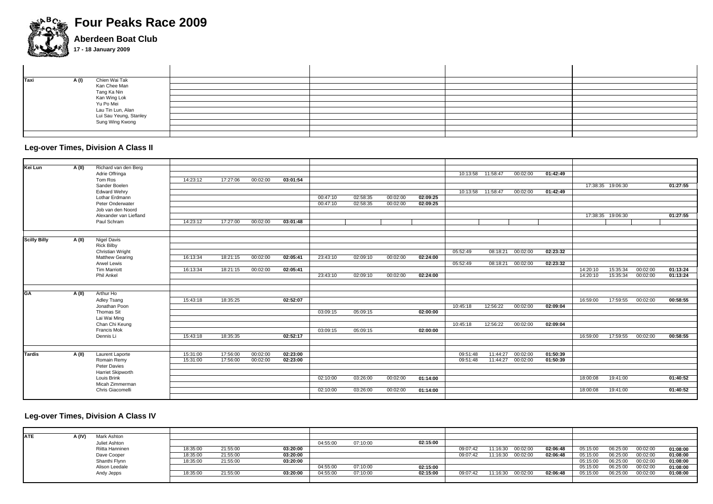

# **Four Peaks Race 2009**

**Aberdeen Boat Club 17 - 18 January 2009**

| Taxi | A (I) | Chien Wai Tak<br>Kan Chee Man<br>Tang Ka Nin<br>Kan Wing Lok   |  |  |
|------|-------|----------------------------------------------------------------|--|--|
|      |       |                                                                |  |  |
|      |       |                                                                |  |  |
|      |       |                                                                |  |  |
|      |       | Yu Po Mei                                                      |  |  |
|      |       | Lau Tin Lun, Alan<br>Lui Sau Yeung, Stanley<br>Sung Wing Kwong |  |  |
|      |       |                                                                |  |  |
|      |       |                                                                |  |  |
|      |       |                                                                |  |  |
|      |       |                                                                |  |  |

## **Leg-over Times, Division A Class II**

| Kei Lun             | A (II) | Richard van den Berg   |          |          |          |          |          |          |          |          |          |                    |                   |          |          |                   |          |          |
|---------------------|--------|------------------------|----------|----------|----------|----------|----------|----------|----------|----------|----------|--------------------|-------------------|----------|----------|-------------------|----------|----------|
|                     |        | Adrie Offringa         |          |          |          |          |          |          |          |          |          | 10:13:58  11:58:47 | 00:02:00          | 01:42:49 |          |                   |          |          |
|                     |        | Tom Ros                | 14:23:12 | 17:27:06 | 00:02:00 | 03:01:54 |          |          |          |          |          |                    |                   |          |          |                   |          |          |
|                     |        | Sander Boelen          |          |          |          |          |          |          |          |          |          |                    |                   |          |          | 17:38:35 19:06:30 |          | 01:27:55 |
|                     |        | <b>Edward Wehry</b>    |          |          |          |          |          |          |          |          |          | 10:13:58  11:58:47 | 00:02:00          | 01:42:49 |          |                   |          |          |
|                     |        | Lothar Erdmann         |          |          |          |          | 00:47:10 | 02:58:35 | 00:02:00 | 02:09:25 |          |                    |                   |          |          |                   |          |          |
|                     |        | Peter Onderwater       |          |          |          |          | 00:47:10 | 02:58:35 | 00:02:00 | 02:09:25 |          |                    |                   |          |          |                   |          |          |
|                     |        | Job van den Noord      |          |          |          |          |          |          |          |          |          |                    |                   |          |          |                   |          |          |
|                     |        | Alexander van Liefland |          |          |          |          |          |          |          |          |          |                    |                   |          |          | 17:38:35 19:06:30 |          | 01:27:55 |
|                     |        | Paul Schram            | 14:23:12 | 17:27:00 | 00:02:00 | 03:01:48 |          |          |          |          |          |                    |                   |          |          |                   |          |          |
|                     |        |                        |          |          |          |          |          |          |          |          |          |                    |                   |          |          |                   |          |          |
| <b>Scilly Billy</b> | A (II) | <b>Nigel Davis</b>     |          |          |          |          |          |          |          |          |          |                    |                   |          |          |                   |          |          |
|                     |        | <b>Rick Bilby</b>      |          |          |          |          |          |          |          |          |          |                    |                   |          |          |                   |          |          |
|                     |        | Christian Wright       |          |          |          |          |          |          |          |          | 05:52:49 |                    | 08:18:21 00:02:00 | 02:23:32 |          |                   |          |          |
|                     |        | Matthew Gearing        | 16:13:34 | 18:21:15 | 00:02:00 | 02:05:41 | 23:43:10 | 02:09:10 | 00:02:00 | 02:24:00 |          |                    |                   |          |          |                   |          |          |
|                     |        | <b>Arwel Lewis</b>     |          |          |          |          |          |          |          |          | 05:52:49 |                    | 08:18:21 00:02:00 | 02:23:32 |          |                   |          |          |
|                     |        | <b>Tim Marriott</b>    | 16:13:34 | 18:21:15 | 00:02:00 | 02:05:41 |          |          |          |          |          |                    |                   |          | 14:20:10 | 15:35:34          | 00:02:00 | 01:13:24 |
|                     |        | Phil Ankel             |          |          |          |          | 23:43:10 | 02:09:10 | 00:02:00 | 02:24:00 |          |                    |                   |          | 14:20:10 | 15:35:34          | 00:02:00 | 01:13:24 |
|                     |        |                        |          |          |          |          |          |          |          |          |          |                    |                   |          |          |                   |          |          |
| GA                  | A(II)  | Arthur Ho              |          |          |          |          |          |          |          |          |          |                    |                   |          |          |                   |          |          |
|                     |        | Adley Tsang            | 15:43:18 | 18:35:25 |          | 02:52:07 |          |          |          |          |          |                    |                   |          | 16:59:00 | 17:59:55          | 00:02:00 | 00:58:55 |
|                     |        | Jonathan Poon          |          |          |          |          |          |          |          |          | 10:45:18 | 12:56:22           | 00:02:00          | 02:09:04 |          |                   |          |          |
|                     |        | Thomas Sit             |          |          |          |          | 03:09:15 | 05:09:15 |          | 02:00:00 |          |                    |                   |          |          |                   |          |          |
|                     |        | Lai Wai Ming           |          |          |          |          |          |          |          |          |          |                    |                   |          |          |                   |          |          |
|                     |        | Chan Chi Keung         |          |          |          |          |          |          |          |          | 10:45:18 | 12:56:22           | 00:02:00          | 02:09:04 |          |                   |          |          |
|                     |        | Francis Mok            |          |          |          |          | 03:09:15 | 05:09:15 |          | 02:00:00 |          |                    |                   |          |          |                   |          |          |
|                     |        | Dennis Li              | 15:43:18 | 18:35:35 |          | 02:52:17 |          |          |          |          |          |                    |                   |          | 16:59:00 | 17:59:55          | 00:02:00 | 00:58:55 |
|                     |        |                        |          |          |          |          |          |          |          |          |          |                    |                   |          |          |                   |          |          |
|                     |        |                        |          |          |          |          |          |          |          |          |          |                    |                   |          |          |                   |          |          |
| <b>Tardis</b>       | A (II) | Laurent Laporte        | 15:31:00 | 17:56:00 | 00:02:00 | 02:23:00 |          |          |          |          | 09:51:48 | 11:44:27           | 00:02:00          | 01:50:39 |          |                   |          |          |
|                     |        | Romain Remy            | 15:31:00 | 17:56:00 | 00:02:00 | 02:23:00 |          |          |          |          | 09:51:48 | 11:44:27           | 00:02:00          | 01:50:39 |          |                   |          |          |
|                     |        | Peter Davies           |          |          |          |          |          |          |          |          |          |                    |                   |          |          |                   |          |          |
|                     |        | Harriet Skipworth      |          |          |          |          |          |          |          |          |          |                    |                   |          |          |                   |          |          |
|                     |        | Louis Brink            |          |          |          |          | 02:10:00 | 03:26:00 | 00:02:00 | 01:14:00 |          |                    |                   |          | 18:00:08 | 19:41:00          |          | 01:40:52 |
|                     |        | Micah Zimmerman        |          |          |          |          |          |          |          |          |          |                    |                   |          |          |                   |          |          |
|                     |        | Chris Giacomelli       |          |          |          |          | 02:10:00 | 03:26:00 | 00:02:00 | 01:14:00 |          |                    |                   |          | 18:00:08 | 19:41:00          |          | 01:40:52 |
|                     |        |                        |          |          |          |          |          |          |          |          |          |                    |                   |          |          |                   |          |          |

## **Leg-over Times, Division A Class IV**

| <b>ATE</b> | A (IV) | Mark Ashton     |          |          |          |          |          |          |          |          |          |          |          |          |          |          |
|------------|--------|-----------------|----------|----------|----------|----------|----------|----------|----------|----------|----------|----------|----------|----------|----------|----------|
|            |        | Juliet Ashton   |          |          |          | 04:55:00 | 07:10:00 | 02:15:00 |          |          |          |          |          |          |          |          |
|            |        | Riitta Hanninen | 18:35:00 | 21:55:00 | 03:20:00 |          |          |          | 09:07:42 | 11:16:30 | 00:02:00 | 02:06:48 | 05:15:00 | 06:25:00 | 00:02:00 | 01:08:00 |
|            |        | Dave Cooper     | 18:35:00 | 21:55:00 | 03:20:00 |          |          |          | 09:07:42 | 11:16:30 | 00:02:00 | 02:06:48 | 05:15:00 | 06:25:00 | 00:02:00 | 01:08:00 |
|            |        | Shanthi Flynn   | 18:35:00 | 21:55:00 | 03:20:00 |          |          |          |          |          |          |          | 05:15:00 | 06:25:00 | 00:02:00 | 01:08:00 |
|            |        | Alison Leedale  |          |          |          | 04:55:00 | 07:10:00 | 02:15:00 |          |          |          |          | 05:15:00 | 06:25:00 | 00:02:00 | 01:08:00 |
|            |        | Andy Jepps      | 18:35:00 | 21:55:00 | 03:20:00 | 04:55:00 | 07:10:00 | 02:15:00 | 09:07:42 | 11:16:30 | 00:02:00 | 02:06:48 | 05:15:00 | 06:25:00 | 00:02:00 | 01:08:00 |
|            |        |                 |          |          |          |          |          |          |          |          |          |          |          |          |          |          |